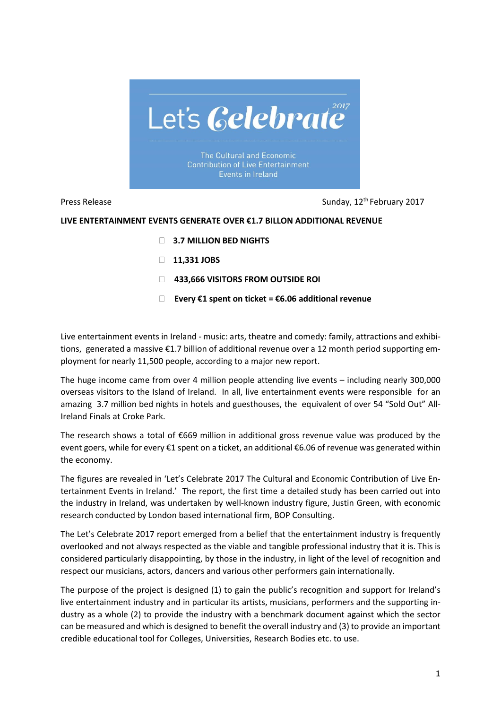

The Cultural and Economic **Contribution of Live Entertainment** Events in Ireland

Press Release **Sunday, 12<sup>th</sup> February 2017** 

## **LIVE ENTERTAINMENT EVENTS GENERATE OVER €1.7 BILLON ADDITIONAL REVENUE**

- **3.7 MILLION BED NIGHTS**
- **11,331 JOBS**
- **433,666 VISITORS FROM OUTSIDE ROI**
- **Every €1 spent on ticket = €6.06 additional revenue**

Live entertainment events in Ireland - music: arts, theatre and comedy: family, attractions and exhibitions, generated a massive €1.7 billion of additional revenue over a 12 month period supporting employment for nearly 11,500 people, according to a major new report.

The huge income came from over 4 million people attending live events – including nearly 300,000 overseas visitors to the Island of Ireland. In all, live entertainment events were responsible for an amazing 3.7 million bed nights in hotels and guesthouses, the equivalent of over 54 "Sold Out" All-Ireland Finals at Croke Park.

The research shows a total of  $\epsilon$ 669 million in additional gross revenue value was produced by the event goers, while for every €1 spent on a ticket, an additional €6.06 of revenue was generated within the economy.

The figures are revealed in 'Let's Celebrate 2017 The Cultural and Economic Contribution of Live Entertainment Events in Ireland.' The report, the first time a detailed study has been carried out into the industry in Ireland, was undertaken by well-known industry figure, Justin Green, with economic research conducted by London based international firm, BOP Consulting.

The Let's Celebrate 2017 report emerged from a belief that the entertainment industry is frequently overlooked and not always respected as the viable and tangible professional industry that it is. This is considered particularly disappointing, by those in the industry, in light of the level of recognition and respect our musicians, actors, dancers and various other performers gain internationally.

The purpose of the project is designed (1) to gain the public's recognition and support for Ireland's live entertainment industry and in particular its artists, musicians, performers and the supporting industry as a whole (2) to provide the industry with a benchmark document against which the sector can be measured and which is designed to benefit the overall industry and (3) to provide an important credible educational tool for Colleges, Universities, Research Bodies etc. to use.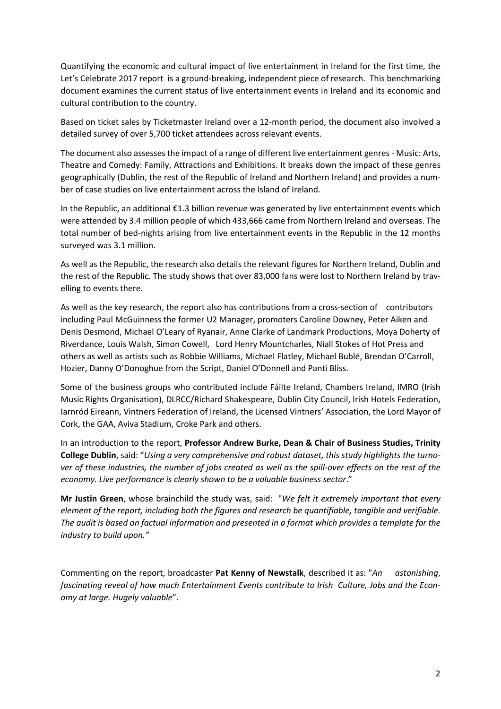Quantifying the economic and cultural impact of live entertainment in Ireland for the first time, the Let's Celebrate 2017 report is a ground-breaking, independent piece of research. This benchmarking document examines the current status of live entertainment events in Ireland and its economic and cultural contribution to the country.

Based on ticket sales by Ticketmaster Ireland over a 12-month period, the document also involved a detailed survey of over 5,700 ticket attendees across relevant events.

The document also assesses the impact of a range of different live entertainment genres - Music: Arts, Theatre and Comedy: Family, Attractions and Exhibitions. It breaks down the impact of these genres geographically (Dublin, the rest of the Republic of Ireland and Northern Ireland) and provides a number of case studies on live entertainment across the Island of Ireland.

In the Republic, an additional €1.3 billion revenue was generated by live entertainment events which were attended by 3.4 million people of which 433,666 came from Northern Ireland and overseas. The total number of bed-nights arising from live entertainment events in the Republic in the 12 months surveyed was 3.1 million.

As well as the Republic, the research also details the relevant figures for Northern Ireland, Dublin and the rest of the Republic. The study shows that over 83,000 fans were lost to Northern Ireland by travelling to events there.

As well as the key research, the report also has contributions from a cross-section of contributors including Paul McGuinness the former U2 Manager, promoters Caroline Downey, Peter Aiken and Denis Desmond, Michael O'Leary of Ryanair, Anne Clarke of Landmark Productions, Moya Doherty of Riverdance, Louis Walsh, Simon Cowell, Lord Henry Mountcharles, Niall Stokes of Hot Press and others as well as artists such as Robbie Williams, Michael Flatley, Michael Bublé, Brendan O'Carroll, Hozier, Danny O'Donoghue from the Script, Daniel O'Donnell and Panti Bliss.

Some of the business groups who contributed include Fáilte Ireland, Chambers Ireland, IMRO (Irish Music Rights Organisation), DLRCC/Richard Shakespeare, Dublin City Council, Irish Hotels Federation, Iarnród Eireann, Vintners Federation of Ireland, the Licensed Vintners' Association, the Lord Mayor of Cork, the GAA, Aviva Stadium, Croke Park and others.

In an introduction to the report, **Professor Andrew Burke, Dean & Chair of Business Studies, Trinity College Dublin**, said: "*Using a very comprehensive and robust dataset, this study highlights the turno*ver of these industries, the number of jobs created as well as the spill-over effects on the rest of the *economy. Live performance is clearly shown to be a valuable business sector*."

**Mr Justin Green**, whose brainchild the study was, said: "*We felt it extremely important that every element of the report, including both the figures and research be quantifiable, tangible and verifiable.* The audit is based on factual information and presented in a format which provides a template for the *industry to build upon."*

Commenting on the report, broadcaster **Pat Kenny of Newstalk**, described it as: "*An astonishing*, *fascinating reveal of how much Entertainment Events contribute to Irish Culture, Jobs and the Economy at large. Hugely valuable*".